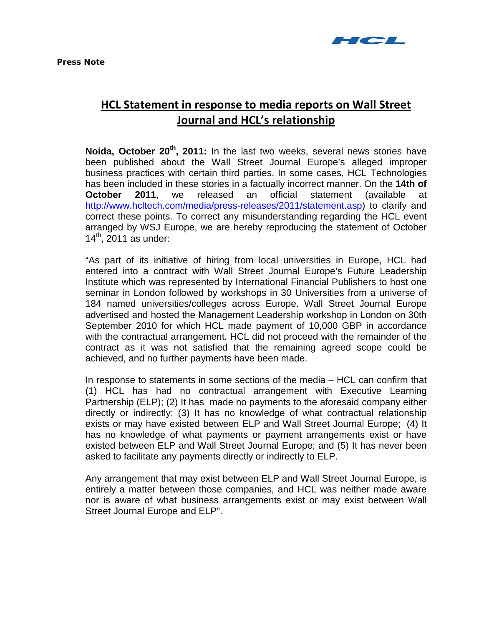

## **HCL Statement in response to media reports on Wall Street Journal and HCL's relationship**

**Noida, October 20th, 2011:** In the last two weeks, several news stories have been published about the Wall Street Journal Europe's alleged improper business practices with certain third parties. In some cases, HCL Technologies has been included in these stories in a factually incorrect manner. On the **14th of October 2011**, we released an official statement (available at [http://www.hcltech.com/media/press-releases/2011/statement.asp\)](http://www.hcltech.com/media/press-releases/2011/statement.asp) to clarify and correct these points. To correct any misunderstanding regarding the HCL event arranged by WSJ Europe, we are hereby reproducing the statement of October  $14<sup>th</sup>$ , 2011 as under:

"As part of its initiative of hiring from local universities in Europe, HCL had entered into a contract with Wall Street Journal Europe's Future Leadership Institute which was represented by International Financial Publishers to host one seminar in London followed by workshops in 30 Universities from a universe of 184 named universities/colleges across Europe. Wall Street Journal Europe advertised and hosted the Management Leadership workshop in London on 30th September 2010 for which HCL made payment of 10,000 GBP in accordance with the contractual arrangement. HCL did not proceed with the remainder of the contract as it was not satisfied that the remaining agreed scope could be achieved, and no further payments have been made.

In response to statements in some sections of the media – HCL can confirm that (1) HCL has had no contractual arrangement with Executive Learning Partnership (ELP); (2) It has made no payments to the aforesaid company either directly or indirectly; (3) It has no knowledge of what contractual relationship exists or may have existed between ELP and Wall Street Journal Europe; (4) It has no knowledge of what payments or payment arrangements exist or have existed between ELP and Wall Street Journal Europe; and (5) It has never been asked to facilitate any payments directly or indirectly to ELP.

Any arrangement that may exist between ELP and Wall Street Journal Europe, is entirely a matter between those companies, and HCL was neither made aware nor is aware of what business arrangements exist or may exist between Wall Street Journal Europe and ELP".